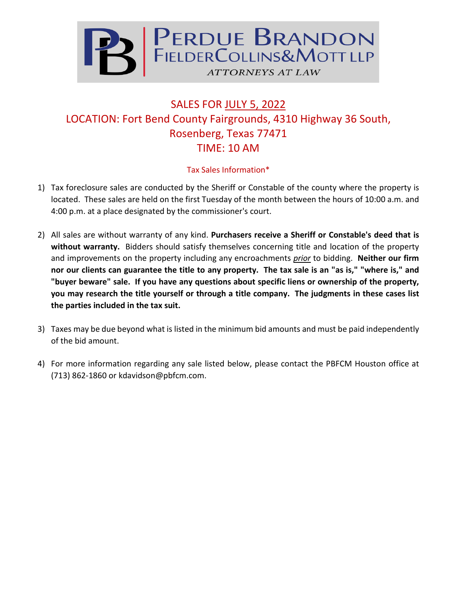

## SALES FOR JULY 5, 2022 LOCATION: Fort Bend County Fairgrounds, 4310 Highway 36 South, Rosenberg, Texas 77471 TIME: 10 AM

## Tax Sales Information\*

- 1) Tax foreclosure sales are conducted by the Sheriff or Constable of the county where the property is located. These sales are held on the first Tuesday of the month between the hours of 10:00 a.m. and 4:00 p.m. at a place designated by the commissioner's court.
- 2) All sales are without warranty of any kind. **Purchasers receive a Sheriff or Constable's deed that is without warranty.** Bidders should satisfy themselves concerning title and location of the property and improvements on the property including any encroachments *prior* to bidding. **Neither our firm nor our clients can guarantee the title to any property. The tax sale is an "as is," "where is," and "buyer beware" sale. If you have any questions about specific liens or ownership of the property, you may research the title yourself or through a title company. The judgments in these cases list the parties included in the tax suit.**
- 3) Taxes may be due beyond what is listed in the minimum bid amounts and must be paid independently of the bid amount.
- 4) For more information regarding any sale listed below, please contact the PBFCM Houston office at (713) 862-1860 or kdavidson@pbfcm.com.